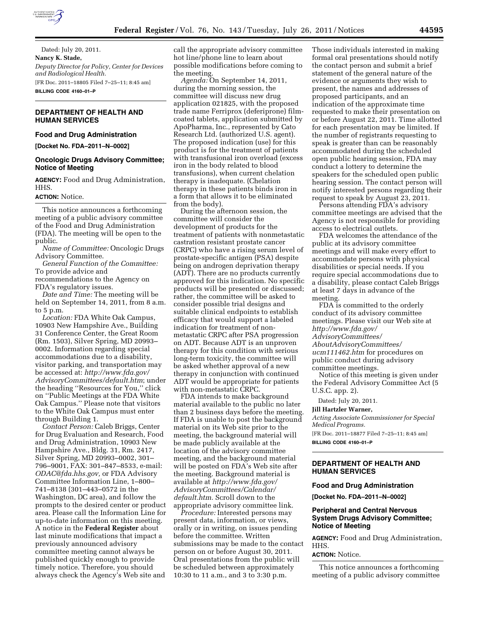

Dated: July 20, 2011. **Nancy K. Stade,**  *Deputy Director for Policy, Center for Devices and Radiological Health.*  [FR Doc. 2011–18805 Filed 7–25–11; 8:45 am] **BILLING CODE 4160–01–P** 

# **DEPARTMENT OF HEALTH AND HUMAN SERVICES**

### **Food and Drug Administration**

**[Docket No. FDA–2011–N–0002]** 

#### **Oncologic Drugs Advisory Committee; Notice of Meeting**

**AGENCY:** Food and Drug Administration, HHS.

#### **ACTION:** Notice.

This notice announces a forthcoming meeting of a public advisory committee of the Food and Drug Administration (FDA). The meeting will be open to the public.

*Name of Committee:* Oncologic Drugs Advisory Committee.

*General Function of the Committee:*  To provide advice and

recommendations to the Agency on FDA's regulatory issues.

*Date and Time:* The meeting will be held on September 14, 2011, from 8 a.m. to 5 p.m.

*Location:* FDA White Oak Campus, 10903 New Hampshire Ave., Building 31 Conference Center, the Great Room (Rm. 1503), Silver Spring, MD 20993– 0002. Information regarding special accommodations due to a disability, visitor parking, and transportation may be accessed at: *[http://www.fda.gov/](http://www.fda.gov/AdvisoryCommittees/default.htm) [AdvisoryCommittees/default.htm](http://www.fda.gov/AdvisoryCommittees/default.htm)*; under the heading ''Resources for You,'' click on ''Public Meetings at the FDA White Oak Campus.'' Please note that visitors to the White Oak Campus must enter through Building 1.

*Contact Person:* Caleb Briggs, Center for Drug Evaluation and Research, Food and Drug Administration, 10903 New Hampshire Ave., Bldg. 31, Rm. 2417, Silver Spring, MD 20993–0002, 301– 796–9001, FAX: 301–847–8533, e-mail: *[ODAC@fda.hhs.gov,](mailto:ODAC@fda.hhs.gov)* or FDA Advisory Committee Information Line, 1–800– 741–8138 (301–443–0572 in the Washington, DC area), and follow the prompts to the desired center or product area. Please call the Information Line for up-to-date information on this meeting. A notice in the **Federal Register** about last minute modifications that impact a previously announced advisory committee meeting cannot always be published quickly enough to provide timely notice. Therefore, you should always check the Agency's Web site and

call the appropriate advisory committee hot line/phone line to learn about possible modifications before coming to the meeting.

*Agenda:* On September 14, 2011, during the morning session, the committee will discuss new drug application 021825, with the proposed trade name Ferriprox (deferiprone) filmcoated tablets, application submitted by ApoPharma, Inc., represented by Cato Research Ltd. (authorized U.S. agent). The proposed indication (use) for this product is for the treatment of patients with transfusional iron overload (excess iron in the body related to blood transfusions), when current chelation therapy is inadequate. (Chelation therapy in these patients binds iron in a form that allows it to be eliminated from the body).

During the afternoon session, the committee will consider the development of products for the treatment of patients with nonmetastatic castration resistant prostate cancer (CRPC) who have a rising serum level of prostate-specific antigen (PSA) despite being on androgen deprivation therapy (ADT). There are no products currently approved for this indication. No specific products will be presented or discussed; rather, the committee will be asked to consider possible trial designs and suitable clinical endpoints to establish efficacy that would support a labeled indication for treatment of nonmetastatic CRPC after PSA progression on ADT. Because ADT is an unproven therapy for this condition with serious long-term toxicity, the committee will be asked whether approval of a new therapy in conjunction with continued ADT would be appropriate for patients with non-metastatic CRPC.

FDA intends to make background material available to the public no later than 2 business days before the meeting. If FDA is unable to post the background material on its Web site prior to the meeting, the background material will be made publicly available at the location of the advisory committee meeting, and the background material will be posted on FDA's Web site after the meeting. Background material is available at *[http://www.fda.gov/](http://www.fda.gov/AdvisoryCommittees/Calendar/default.htm)  [AdvisoryCommittees/Calendar/](http://www.fda.gov/AdvisoryCommittees/Calendar/default.htm)  [default.htm.](http://www.fda.gov/AdvisoryCommittees/Calendar/default.htm)* Scroll down to the appropriate advisory committee link.

*Procedure:* Interested persons may present data, information, or views, orally or in writing, on issues pending before the committee. Written submissions may be made to the contact person on or before August 30, 2011. Oral presentations from the public will be scheduled between approximately 10:30 to 11 a.m., and 3 to 3:30 p.m.

Those individuals interested in making formal oral presentations should notify the contact person and submit a brief statement of the general nature of the evidence or arguments they wish to present, the names and addresses of proposed participants, and an indication of the approximate time requested to make their presentation on or before August 22, 2011. Time allotted for each presentation may be limited. If the number of registrants requesting to speak is greater than can be reasonably accommodated during the scheduled open public hearing session, FDA may conduct a lottery to determine the speakers for the scheduled open public hearing session. The contact person will notify interested persons regarding their request to speak by August 23, 2011.

Persons attending FDA's advisory committee meetings are advised that the Agency is not responsible for providing access to electrical outlets.

FDA welcomes the attendance of the public at its advisory committee meetings and will make every effort to accommodate persons with physical disabilities or special needs. If you require special accommodations due to a disability, please contact Caleb Briggs at least 7 days in advance of the meeting.

FDA is committed to the orderly conduct of its advisory committee meetings. Please visit our Web site at *[http://www.fda.gov/](http://www.fda.gov/AdvisoryCommittees/AboutAdvisoryCommittees/ucm111462.htm) [AdvisoryCommittees/](http://www.fda.gov/AdvisoryCommittees/AboutAdvisoryCommittees/ucm111462.htm) [AboutAdvisoryCommittees/](http://www.fda.gov/AdvisoryCommittees/AboutAdvisoryCommittees/ucm111462.htm)  [ucm111462.htm](http://www.fda.gov/AdvisoryCommittees/AboutAdvisoryCommittees/ucm111462.htm)* for procedures on public conduct during advisory committee meetings.

Notice of this meeting is given under the Federal Advisory Committee Act (5 U.S.C. app. 2).

Dated: July 20, 2011.

# **Jill Hartzler Warner,**

*Acting Associate Commissioner for Special Medical Programs.*  [FR Doc. 2011–18877 Filed 7–25–11; 8:45 am]

**BILLING CODE 4160–01–P** 

# **DEPARTMENT OF HEALTH AND HUMAN SERVICES**

#### **Food and Drug Administration**

**[Docket No. FDA–2011–N–0002]** 

### **Peripheral and Central Nervous System Drugs Advisory Committee; Notice of Meeting**

**AGENCY:** Food and Drug Administration, HHS.

#### **ACTION:** Notice.

This notice announces a forthcoming meeting of a public advisory committee